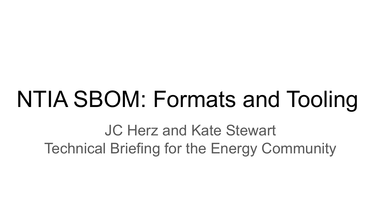# NTIA SBOM: Formats and Tooling

JC Herz and Kate Stewart Technical Briefing for the Energy Community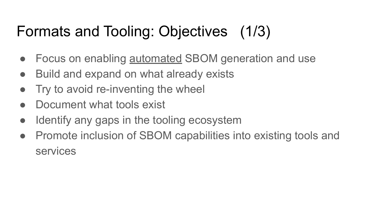## Formats and Tooling: Objectives (1/3)

- Focus on enabling **automated SBOM** generation and use
- Build and expand on what already exists
- Try to avoid re-inventing the wheel
- Document what tools exist
- Identify any gaps in the tooling ecosystem
- Promote inclusion of SBOM capabilities into existing tools and services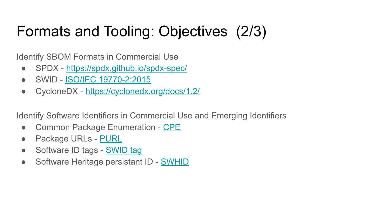## Formats and Tooling: Objectives (2/3)

Identify SBOM Formats in Commercial Use

- SPDX -<https://spdx.github.io/spdx-spec/>
- SWID - [ISO/IEC 19770-2:2015](https://www.iso.org/standard/65666.html)
- CycloneDX <https://cyclonedx.org/docs/1.2/>

Identify Software Identifiers in Commercial Use and Emerging Identifiers

- Common Package Enumeration - [CPE](https://csrc.nist.gov/projects/security-content-automation-protocol/specifications/cpe)
- Package URLs - [PURL](https://github.com/package-url/purl-spec)
- Software ID tags [SWID tag](https://csrc.nist.gov/projects/Software-Identification-SWID)
- Software Heritage persistant ID [SWHID](https://docs.softwareheritage.org/devel/swh-model/persistent-identifiers.html)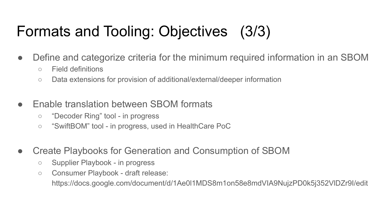## Formats and Tooling: Objectives (3/3)

- Define and categorize criteria for the minimum required information in an SBOM
	- Field definitions
	- Data extensions for provision of additional/external/deeper information
- Fnable translation between SBOM formats
	- "Decoder Ring" tool in progress
	- "SwiftBOM" tool in progress, used in HealthCare PoC
- Create Playbooks for Generation and Consumption of SBOM
	- Supplier Playbook in progress
	- Consumer Playbook draft release:

https://docs.google.com/document/d/1Ae0l1MDS8m1on58e8mdVIA9NujzPD0k5j352VlDZr9I/edit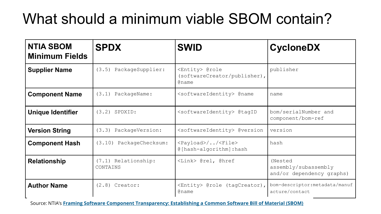## What should a minimum viable SBOM contain?

| <b>NTIA SBOM</b><br><b>Minimum Fields</b> | <b>SPDX</b>                     | <b>SWID</b>                                                                   | <b>CycloneDX</b>                                             |
|-------------------------------------------|---------------------------------|-------------------------------------------------------------------------------|--------------------------------------------------------------|
| <b>Supplier Name</b>                      | (3.5) PackageSupplier:          | <entity> @role<br/>(softwareCreator/publisher),<br/><b>Contained</b></entity> | publisher                                                    |
| <b>Component Name</b>                     | PackageName:<br>(3.1)           | <softwareidentity> @name</softwareidentity>                                   | name                                                         |
| <b>Unique Identifier</b>                  | $(3.2)$ SPDXID:                 | <softwareidentity> @tagID</softwareidentity>                                  | bom/serialNumber and<br>component/bom-ref                    |
| <b>Version String</b>                     | (3.3) PackageVersion:           | <softwareidentity> @version</softwareidentity>                                | version                                                      |
| <b>Component Hash</b>                     | (3.10) PackageChecksum:         | <payload>//<file><br/>@[hash-algorithm]:hash</file></payload>                 | hash                                                         |
| <b>Relationship</b>                       | (7.1) Relationship:<br>CONTAINS | <link/> @rel, @href                                                           | (Nested<br>assembly/subassembly<br>and/or dependency graphs) |
| <b>Author Name</b>                        | $(2.8)$ Creator:                | <entity> @role (tagCreator),<br/><b>Aname</b></entity>                        | bom-descriptor: metadata/manuf<br>acture/contact             |

Source: NTIA's **[Framing Software Component Transparency: Establishing a Common Software Bill of Material \(SBOM\)](https://www.ntia.gov/files/ntia/publications/framingsbom_20191112.pdf)**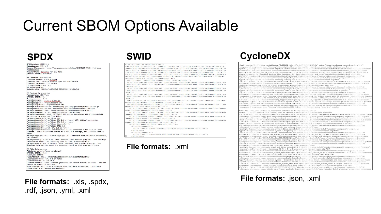#### Current SBOM Options Available

DocumentNamespace: http://www.spdx.org/spdxdocs/8f141b09-1138-4fc5-aecbfc10d9ac1eed DocumentName: SpdxDoc for GNU Time<br>SPDXID: SPDXRef-DOCUMENT

## Creation Information Creator: Person: Gary O'Neall Creator: Tool: Source Auditor Open Source Console Created: 2018-08-17T11:29:46Z LicenseListVersion: 3.2 ## Relationships Relationship: SPDXRef-DOCUMENT DESCRIBES SPDXRef-1

## Package Information PackageName: GNU Time SPDXID: SPDXRef-1 PackaneVersion: 1.9 PackageFileName: time-1.9.tar.gz<br>PackageSupplier: Organization: GNU PackageOriginator: Organization: GNU<br>PackageDownloadLocation: https://ftp.gnu.org/gnu/time/time-1.9.tar.gz PackageVerificationCode: 4eeBabbBbc16eaa2a44446bb6354fef171bb5543 PackageChecksum: SHA1: 75068c26abbed3ad3980685bae21d7202d288317 PackageHomePage: https://www.gnu.org/software/time/ PackageLicenseConcluded: (GFDL-1.3 AND GPL-3.8-or-later AND LicenseRef-1) ## License information from files PackageLicenseInfoEcomEiles: X11 PackageLicenseInfoFromFiles: GPL-2.0-or-later WITH <u>Libtgol-exception</u> PackageLicenseInfoFromFiles: GPL-3.0-or-later PackageLicenseInfoFromFiles: LicenseRef-1 PackageLicenseInfoFromFiles: GFDL-1.3 PackageLicenseDeclared: GPL-3.0-or-later PackageLicenseComments: <text>Several files contained a GPL 2.0 or later<br>license. Since they were linked to a GPL 3.0 package, GPL 3.0 was used.</ text> PackageCopyrightText: <text>Copyright (C) 1990-2018 Free Software Foundation,  $Inc. < /text$ PackageSummary: <text>The 'time' command runs another program, then displays information about the resources used by that program.</text> PackageDescription: <text>The 'time' command runs another program, then displays information about the resources used by that program.</text> ## File Information FileName: ./tests/help-version.sh FileType: SOURCE FileChecksum: SHA1: 30b3973b22ddbcd9e8982a06c5a2440fcb315013

LicenseConcluded: GPL-3 A-or-later LicenseInfoInFile: GPL-3.0 LicenseComments: Seen licenses generated by Source Auditor Scanner. Results should be manually verified. snooto be manuatty verified.<br>FileCopyrightText: <text>Copyright Free Software Foundation, Inc</text>

FileNotice: <text>NOASSERTION</text:

#### **File formats:** .xls, .spdx, .rdf, .json, .yml, .xml

#### /xml version="1.0" encoding="utf-8"?>

-<br><SoftwareIdentity\_xmlns="http://standards.iso.org/iso/19770/-2/2015/schema.xsd"\_xmlns:sha256="http:/ /www.w3.org/2001/04/xmlenc#sha256" xmlns:n8060="http://csrc.nist.gov/ns/swid/2015-extensions/1.0" xm ne-vei-"http://www.u3.nrn/2001/VMLSchema\_instance" vei-schemal.ocation-"http://standards.isp.org/isp /19770/-2/2015/schema.xsd.http://standards.iso.org/iso/19770/-2/2015-current/schema.xsd.http:/// -extensions-1.0.xsd" xml:lang="en-US" name="zip" tagId="unavailable.invalid.zip-3.0-26.fc32.x86\_64" version="3.0-26.fc32.x86\_64" versionScheme="rpm">

stink relationalized" uses"required" types"swid-xml" ownerships"shared" href="swid:unavailable.inva 25d.swidtag"/>

11d.olibc-2.31-2.fc32.x86\_64-ron-e8641adf7969deaa30846bac77c7accf70f3588da3ee4668c73090bfa2e97507.sw idtan"/>

<Link rel="required" use="required" type="swid+xml" ownership="shared" href="swid:unavailable.inva lid.unzip-6.0-47.fc32.x86\_64-rpm-8a274fd9aafd2a6d435dd0f923b73be1870097e3bd8e989ad5809f59de14ba78.sw idtag"/>

<Meta product="zip" colloquialVersion="3.0" revision="26.fc32" arch="x86\_64" summary="A file comp ession and packaging utility companiestible with PKZIP"/>

<Evidence date="2020-06-12T19:08:272" deviceId="localhost.localdomain" n8060:pathSeparator="/" n80 60:envVarPrefix="\$" n8060:envVarSuffix="">

<File size="213648" name="zip" location="/usr/bin" sha256:hash="8abb7885954cd7cd8a2f9dbecf96a965 4a837329b9a9bf1eb4e586b8f7e22f5" kev="true"/>

нализирарніцернеравнагічедір і кеу≡ (rue /><br>«File size="106416" name="zipcloak" location="/usr/bin" sha256:hash="fa902ca689f188350642284ba56 306660d574755ddb63fcf27f9b333e8ec7f80" kev="true"/>

<File size="97816" name="zipnote" location="/usr/bin" sha256:hash="141860815d7675b39e681eec8cc61 30e0bb418ffd92a73a28575514c38abbac2" key="true"/>

<File size="97864" name="zipsplit" location="/usr/bin" sha256:hash="0d13183bb15a20ad76012b83b26b a5b8def1e37195caf48c34a54e09557ef2f0" key="true"/>

<Directory name="4c"> <File size="28" name="224381b5ef923772bf5e1742f80af581b848da" key="true"/> </Directory>

<File size="27" name="65529f3700a5309915077e5c55cf4db21ad84a" key="true"/> </Directory>

#### **File formats:** .xml

#### **SPDX SWID CycloneDX**

xml version="1.0"?><bom serialNumber="9e253f92-4e1c-497e-8f87-50730d24f18a" xmlns="http://cyclonedx.org/schema/bom/1.1"> <components><component type="library"><description>Nerves System BR - Buildroot based build platform for Nerves<br>Systems</description><hashes><hash alg="SHA-256">e3fda6bc49f8e3662d37355aad88c0839296597c0b6f6653d21967db1890b Create firmware for embedded devices like Raspberry Pi, BeagleBone Black, and more//description>thashes>thash alg="SHA-<br>256">07079342db3a03dl9694118a93f220359fbd94b6e174b98dlea2709db9e8lda9</hash></hashes><licenses><licens Jiicensey</licenses><name>nerves</name><purl>pkg;hex/nerves@l.5.1</purl><version>1.5.1</version></component><component></>

type="library"><description>Socket handling library for Elixir</description><hashes><hash alg="SHA=<br>256">98a2ab20ce17f95fb512c5cadddba32b57273e0d2dba2d2e5f976c5969d0c632</hash></lashes><licenses><licenses><license><license 

vampirationen am atten til V-mot australisationen var sammen var mannet var andet var australisationen av den<br>ISST≽bOle3ecB973e99473234f27839e29e63b5bBlebs6al35al8a78d049d48l3d6c5</hash></hashes><licenses><license><lichAp , дасспостту дасспосотникотолого спиту нишетъро другие, около спитут да и различение на страние с полицение со<br>урен"library"><description>Nerves Toolchain CTNG - Toolchain Platform</description><hashes><hash alge"SHA=<br>"SA

oo /\*uzisuosuuseuro marmamaansuosuuseen suusuusuusesuuseen maanivat maansa viimmaas-tikennes-vuonnamaa 105/147<br>11icense≻(/licenses≻Kname>nerves\_toolchain\_ctng</name>{purl>pkg:hex/nerves\_toolchain\_ctng@l.6.0</purl><version -/.component>component type="library"><description>A ring buffer backend for Elixir Logger with IO streaming.</description>Chash<br></component><component type="library"><description>A ring buffer backend for Elixir Logger w :/license></licenses><name>nerves system linter</name><purl>pkg:hex/nerves system linter@0.3.0</purl><version>0.3.0</version> component><component type="library"><description>DNS library for Elixir using 'Inet dns' module.

Note: The 'inet dns' module is considered internal to Erlang and subject to

change. If this happened this library will be updated.</description><hashes><hash alg="SHA=<br>256">81c46d39f7934f0e73368355126e4266762cf227ba61d5889635d83b2d64a493</hash></hashes><licenses><licenses><name>BSD-3-Clauses</name </license></licensea><name>dns</name>cpurl>pkg:hex/dns82.1.2</purl><version>2.1.2</version></component><component type="library"></licensea><hns9.11.2</version></component><component type="library"><br><description>& simple m 2.0</id></license></licenses></news>mame></mame><purl>pkg:hex/mdns01.0.3</purl><version>1.0.3</version></component><component><component></hame><purl>>>>>></hame><purlicenses>>hame><purlicenses><hame></hame></hame>>>->hame

∠Ju camasa (LovensiaCasussus) — продоложительно при пример, при пример, при примение стательными стательность.<br>- Sylippy:head (LovensiaCasus) — при пример, пример, при пример, при пример, при пример.<br>- Sylippy:head (Love

256\*>c75c5a4c42a2aed5a4ed8116c143993500d1546edb5550978f528e980a7d5f03</hash></hashes><licenses><license><id>Apache-2.0</id> :/license></licenses><name>nerves\_system\_rpi3a</name><purl>pkg:hex/nerves\_system\_rpi3a@1.9.2</purl><version>1.9.2</version> mponent type="library"><description>Atomic nested term storage and dispatch registry</description><hashes><hash alg="SHA-256">df791dc276652fcfb53be4dab823e05f8269b96ac57c26f86a67838dbcDeefe7c/bash>c/bashes>clicenses>clicense>cid>Anache-.0</id></license></licenses><name>system\_registry</name><purl>pkg:hex/system\_registry@0.8.2</purl><version>0.8.2</version </component><component type="library"><description>Nerves Toolchain - armv6-rpi-linux-gnueabi</description><hashea><hash alg="SH<br>256">007668c7ad1f73bad8fd54adla27a3b0fb9lbca51b4af6bb3bbdac968ccae0ba</hash></hashes><licens

</license></licenses><name>nerves\_toolchain\_armv6\_rpi\_linux\_gnueabi</name><br><purl>pRsihex/nerves\_toolchain\_armv6\_rpi\_linux\_gnueabi81.2.0</purl><version>1.2.0</version></component><component type="library";<br><description>Ner 256">a9b68559cbb4585d7b050394f2e2395cc7517f9a0816d9ea9115f1164db731e9</hash></hashes><licenses><license><id>Apache-2.0</d>

/license></licenses><name>nerves\_system\_rpi</name><purl>pkg:hex/nerves\_system\_rpi{1.9.2</purl><version>1.9.2</version></compone <component type="library"><description>Get your boot on.</description><hashes><hash alg="SHA-<br>256">f9alb7d6212cf18ba91c4f7lc26076059df33cea4db2eb3c098bfa6673349412</hash></hashes><licenses><license><id>Apache-2.0</id>

.<br></license></licenses><name>shoehorn</name><purl>pkg:hex/shoehorn#0.6.0</purl><version>0.6.0</version></component><component<br>type="library"><description>Nerves System - BeagleBone Black, BeagleBone Green, PocketBeagle an ig="SHA-256">e7ac32898cc4fb259a308116df2745fff12ea360cdb91c74906baef49b223ada</hash></hashes><1icenses><1icense><id>Apache-

.oc/id></license></licenses><name>nerves system bbb</name><purl>pkg:hex/nerves system bbb@2.4.2</purl><version>2.4.2</version> .<br>//component><component type="library"><description>A Make compiler for Mix</description><hashes><hash alg="SHA-<br>156">38349f3e29aff4864352084fc736fa7fa0f2995a8l9a737554f7ebd28b85aaab</hash></hashes><licenses><license>>id>

#### **File formats:** .json, .xml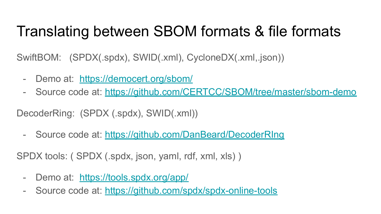### Translating between SBOM formats & file formats

SwiftBOM: (SPDX(.spdx), SWID(.xml), CycloneDX(.xml,.json))

- Demo at: <https://democert.org/sbom/>
- Source code at:<https://github.com/CERTCC/SBOM/tree/master/sbom-demo>

DecoderRing: (SPDX (.spdx), SWID(.xml))

- Source code at:<https://github.com/DanBeard/DecoderRIng>

SPDX tools: ( SPDX (.spdx, json, yaml, rdf, xml, xls) )

- Demo at: <https://tools.spdx.org/app/>
- Source code at:<https://github.com/spdx/spdx-online-tools>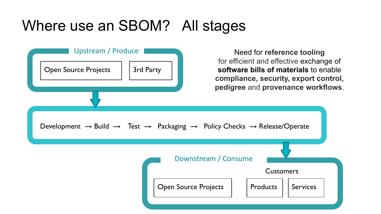### Where use an SBOM? All stages

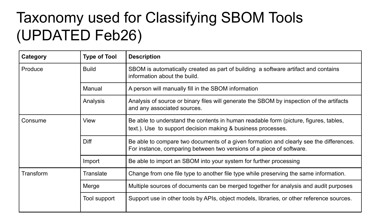### Taxonomy used for Classifying SBOM Tools (UPDATED Feb26)

| Category  | <b>Type of Tool</b> | <b>Description</b>                                                                                                                                             |  |
|-----------|---------------------|----------------------------------------------------------------------------------------------------------------------------------------------------------------|--|
| Produce   | <b>Build</b>        | SBOM is automatically created as part of building a software artifact and contains<br>information about the build.                                             |  |
|           | Manual              | A person will manually fill in the SBOM information                                                                                                            |  |
|           | Analysis            | Analysis of source or binary files will generate the SBOM by inspection of the artifacts<br>and any associated sources.                                        |  |
| Consume   | View                | Be able to understand the contents in human readable form (picture, figures, tables,<br>text.). Use to support decision making & business processes.           |  |
|           | Diff                | Be able to compare two documents of a given formation and clearly see the differences.<br>For instance, comparing between two versions of a piece of software. |  |
|           | Import              | Be able to import an SBOM into your system for further processing                                                                                              |  |
| Transform | Translate           | Change from one file type to another file type while preserving the same information.                                                                          |  |
|           | Merge               | Multiple sources of documents can be merged together for analysis and audit purposes                                                                           |  |
|           | Tool support        | Support use in other tools by APIs, object models, libraries, or other reference sources.                                                                      |  |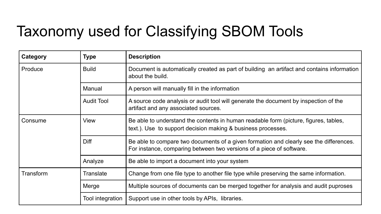## Taxonomy used for Classifying SBOM Tools

| Category  | <b>Type</b>       | <b>Description</b>                                                                                                                                             |  |
|-----------|-------------------|----------------------------------------------------------------------------------------------------------------------------------------------------------------|--|
| Produce   | <b>Build</b>      | Document is automatically created as part of building an artifact and contains information<br>about the build.                                                 |  |
|           | Manual            | A person will manually fill in the information                                                                                                                 |  |
|           | <b>Audit Tool</b> | A source code analysis or audit tool will generate the document by inspection of the<br>artifact and any associated sources.                                   |  |
| Consume   | View              | Be able to understand the contents in human readable form (picture, figures, tables,<br>text.). Use to support decision making & business processes.           |  |
|           | Diff              | Be able to compare two documents of a given formation and clearly see the differences.<br>For instance, comparing between two versions of a piece of software. |  |
|           | Analyze           | Be able to import a document into your system                                                                                                                  |  |
| Transform | Translate         | Change from one file type to another file type while preserving the same information.                                                                          |  |
|           | Merge             | Multiple sources of documents can be merged together for analysis and audit puproses                                                                           |  |
|           | Tool integration  | Support use in other tools by APIs, libraries.                                                                                                                 |  |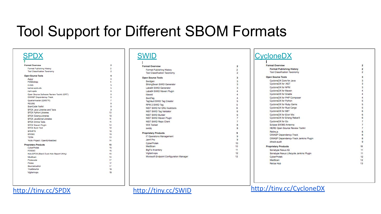#### Tool Support for Different SBOM Formats

|              | <b>Format Overview</b>                    |
|--------------|-------------------------------------------|
|              | Format Publishing History                 |
|              | <b>Tool Classification Taxonomy</b>       |
|              | <b>Open Source Tools</b>                  |
| Augur        |                                           |
|              | FOSSology                                 |
| in-toto      |                                           |
|              | kernel-spdx-ids                           |
|              | npm-spdx                                  |
|              | Open Source Software Review Toolkit (ORT) |
|              | OWASP Dependency-Track                    |
|              | Quartermaster (QMSTR)                     |
| <b>REUSE</b> |                                           |
|              | ScanCode Toolkit                          |
|              | SPDX Java Libraries and Tools             |
|              | SPDX Python Libraries                     |
|              | SPDX Golang Libraries                     |
|              | SPDX JavaScript Libraries                 |
|              | SPDX Online Tools                         |
|              | SPDX Mayen Plugin                         |
|              | SPDX Build Tool                           |
| SPARTS       |                                           |
| SW360        |                                           |
| <b>TERN</b>  |                                           |
|              | Yocto Project / OpenEmbedded              |
|              | <b>Proprietary Products</b>               |
|              | CyberProtek                               |
|              | <b>FOSSID</b>                             |
|              | Hub-SPDX (Black Duck Hub Report Utility)  |
|              | MedScan                                   |
|              | Protecode                                 |
| Protex       |                                           |
|              | SourceAuditor                             |
|              | TrustSource                               |
|              | Vigilant-ops                              |

 $\overline{2}$ 

 $\overline{\mathbf{2}}$ 

| Format Overview                          |
|------------------------------------------|
| Format Publishing History                |
| <b>Tool Classification Taxonomy</b>      |
| Dpen Source Tools                        |
| Swidgen                                  |
| StrongSwan SWID Generator                |
| Labs64 SWID Generator                    |
| Labs64 SWID Maven Plugin                 |
| lihswid                                  |
| SwidTag                                  |
| TagVault SWID Tag Creator                |
| RPM 2 SWID Tag                           |
| NIST SWID for GNU Autotools              |
| NIST SWID Tag Validator                  |
| NIST SWID Builder                        |
| NIST SWID Maven Plugin                   |
| NIST SWID Repo Client                    |
| <b>WIX Toolset</b>                       |
| swidg                                    |
| Proprietary Products                     |
| IT Operations Management                 |
| Jamf Pro                                 |
| CyberProtek                              |
| MedScan                                  |
| <b>BigFix Inventory</b>                  |
| Vigilant-ops                             |
| Microsoft Endpoint Configuration Manager |
|                                          |

#### [SWID](https://docs.google.com/document/d/1oebYvHcOhtMG8Uhnd5he0l_vhty7MsTjp6fYCOwUmwM/edit) [CycloneDX](https://docs.google.com/document/d/1biwYXrtoRc_LF7Pw10TO2TGIhlM6jwkDG23nc9M_RiE/edit)

 $\overline{\mathbf{z}}$ 

 $\frac{2}{2}$  $\overline{\mathbf{3}}$ 

 $\overline{9}$ 

 $10<sub>1</sub>$ 

 $10<sup>1</sup>$ 

 $12<sup>12</sup>$ 

| <b>Format Overview</b>                 |                                         |  |
|----------------------------------------|-----------------------------------------|--|
| <b>Format Publishing History</b>       |                                         |  |
| Tool Classification Taxonomy           |                                         |  |
| <b>Open Source Tools</b>               |                                         |  |
| CycloneDX Core for Java                |                                         |  |
| CycloneDX for .NET                     |                                         |  |
| CycloneDX for NPM                      |                                         |  |
| CvcloneDX for Maven                    |                                         |  |
| CycloneDX for Gradle                   |                                         |  |
| CycloneDX for PHP Composer             |                                         |  |
| CycloneDX for Python                   |                                         |  |
| CycloneDX for Ruby Gems                |                                         |  |
| CycloneDX for Rust Cargo               |                                         |  |
| CycloneDX for SBT                      |                                         |  |
| CycloneDX for Elixir Mix               |                                         |  |
| CycloneDX for Erlang Rebar3            |                                         |  |
| CycloneDX for Go.                      |                                         |  |
| Eclipse SW360 Antenna                  |                                         |  |
| <b>HERE Open Source Review Toolkit</b> |                                         |  |
| Retire, s                              |                                         |  |
| OWASP Dependency-Track                 |                                         |  |
|                                        | OWASP Dependency-Track Jenkins Plugin   |  |
| dtrack-audit                           |                                         |  |
| <b>Proprietary Products</b>            |                                         |  |
| Sonatype Nexus IQ                      |                                         |  |
|                                        | Sonatype Nexus Lifecycle Jenkins Plugin |  |
| CyberProtek                            |                                         |  |
| MedScan                                |                                         |  |
| Reliza Hub                             |                                         |  |

 $12^{12}$ 

 $13<sup>1</sup>$ 

#### <http://tiny.cc/SPDX> <http://tiny.cc/SWID> <http://tiny.cc/CycloneDX>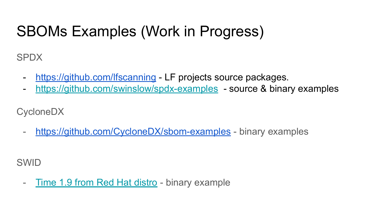## SBOMs Examples (Work in Progress)

SPDX

- <https://github.com/lfscanning> LF projects source packages.
- <https://github.com/swinslow/spdx-examples> source & binary examples

CycloneDX

- <https://github.com/CycloneDX/sbom-examples> - binary examples

SWID

- [Time 1.9 from Red Hat distro](https://drive.google.com/drive/u/0/folders/1Z364N234jrs36pjDT8xcS5hUGjRmMTN9) - binary example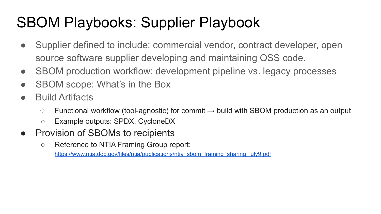## SBOM Playbooks: Supplier Playbook

- Supplier defined to include: commercial vendor, contract developer, open source software supplier developing and maintaining OSS code.
- SBOM production workflow: development pipeline vs. legacy processes
- SBOM scope: What's in the Box
- Build Artifacts
	- $\circ$  Functional workflow (tool-agnostic) for commit  $\rightarrow$  build with SBOM production as an output
	- Example outputs: SPDX, CycloneDX
- Provision of SBOMs to recipients
	- Reference to NTIA Framing Group report:

[https://www.ntia.doc.gov/files/ntia/publications/ntia\\_sbom\\_framing\\_sharing\\_july9.pdf](https://www.ntia.doc.gov/files/ntia/publications/ntia_sbom_framing_sharing_july9.pdf)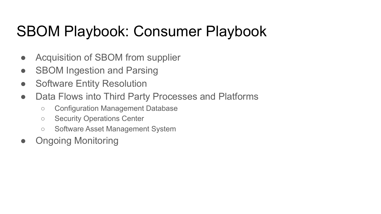### SBOM Playbook: Consumer Playbook

- Acquisition of SBOM from supplier
- SBOM Ingestion and Parsing
- Software Entity Resolution
- Data Flows into Third Party Processes and Platforms
	- Configuration Management Database
	- Security Operations Center
	- Software Asset Management System
- **Ongoing Monitoring**